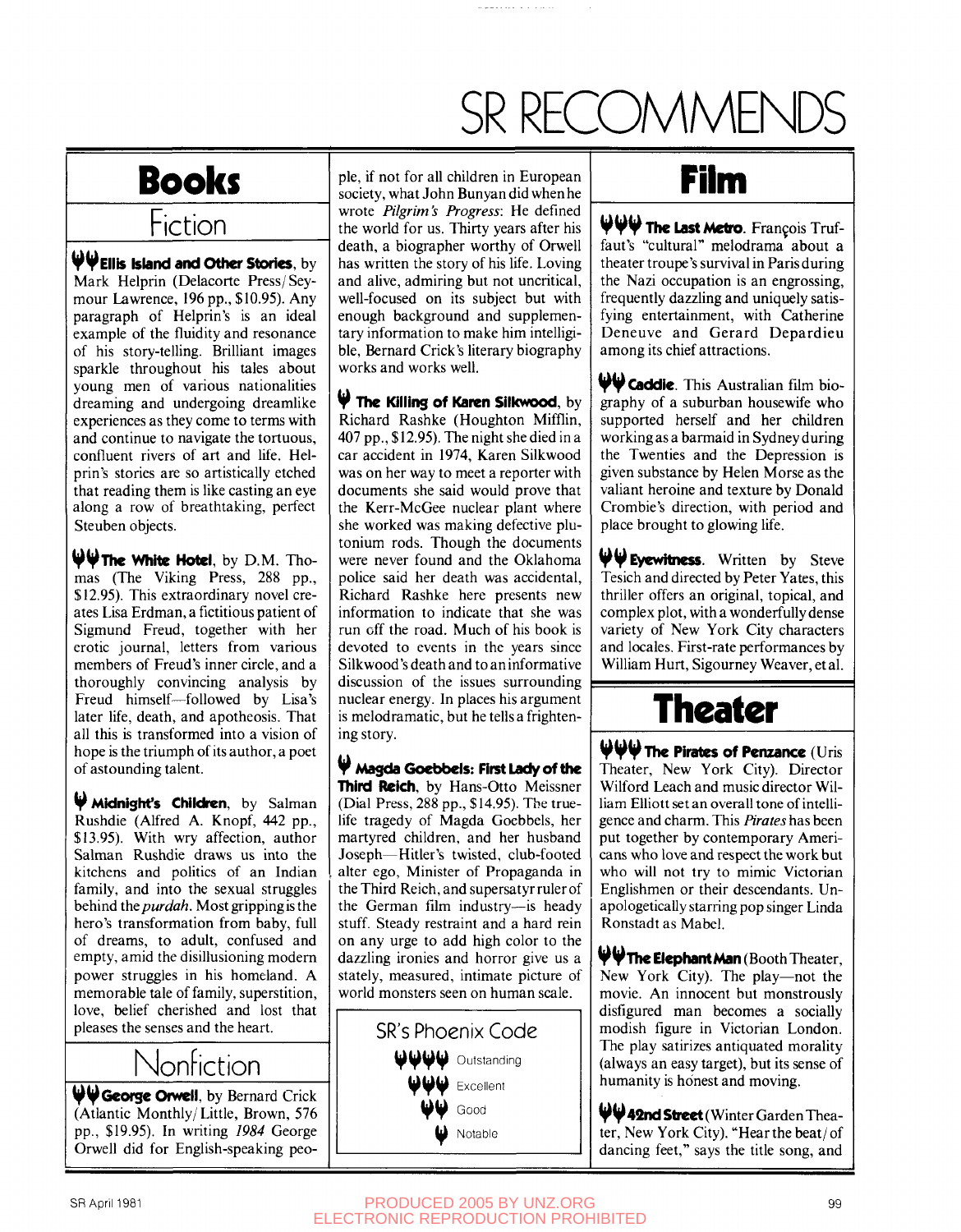# SR RECOMMEN

#### **Books**  Fiction

**WEIII S Island and Other Stories, by**  Mark Helprin (Delacorte Press/Seymour Lawrence, 196 pp., \$10.95). Any paragraph of Helprin's is an ideal example of the fluidity and resonance of his story-telling. Brilliant images sparkle throughout his tales about young men of various nationalities dreaming and undergoing dreamlike experiences as they come to terms with and continue to navigate the tortuous, confluent rivers of art and life. Helprin's stories are so artistically etched that reading them is like casting an eye along a row of breathtaking, perfect Steuben objects.

**WThe White Hotel,** by D.M. Thomas (The Viking Press, 288 pp., \$12.95). This extraordinary novel creates Lisa Erdman, a fictitious patient of Sigmund Freud, together with her erotic journal, letters from various members of Freud's inner circle, and a thoroughly convincing analysis by Freud himself—followed by Lisa's later life, death, and apotheosis. That all this is transformed into a vision of hope is the triumph of its author, a poet of astounding talent.

**V Midnight's Children,** by Salman Rushdie (Alfred A. Knopf, 442 pp., \$13.95). With wry affection, author Salman Rushdie draws us into the kitchens and politics of an Indian family, and into the sexual struggles behind *Ihepurdah.* Most gripping is the hero's transformation from baby, full of dreams, to adult, confused and empty, amid the disillusioning modern power struggles in his homeland. A memorable tale of family, superstition, love, belief cherished and lost that pleases the senses and the heart.

#### Nonfiction

**(j^V George Orwell,** by Bernard Crick (Atlantic Monthly/ Little, Brown, 576 pp., \$19.95). In writing *1984* George Orwell did for English-speaking people, if not for all children in European society, what John Bunyan did when he wrote *Pilgrim's Progress:* He defined the world for us. Thirty years after his death, a biographer worthy of Orwell has written the story of his life. Loving and alive, admiring but not uncritical, well-focused on its subject but with enough background and supplementary information to make him intelligible, Bernard Crick's literary biography works and works well.

 $\Psi$  The Killing of Karen Silkwood, by Richard Rashke (Houghton Mifflin, 407 pp., \$ 12.95). The night she died in a car accident in 1974, Karen Silkwood was on her way to meet a reporter with documents she said would prove that the Kerr-McGee nuclear plant where she worked was making defective plutonium rods. Though the documents were never found and the Oklahoma police said her death was accidental, Richard Rashke here presents new information to indicate that she was run off the road. Much of his book is devoted to events in the years since Silkwood's death and to an informative discussion of the issues surrounding nuclear energy. In places his argument is melodramatic, but he tells a frightening story.

^ **Masda Goebbels: First Lady of the Third Reich,** by Hans-Otto Meissner (Dial Press, 288 pp., \$14.95). The truelife tragedy of Magda Goebbels, her martyred children, and her husband Joseph—Hitler's twisted, club-footed alter ego. Minister of Propaganda in the Third Reich, and supersatyr ruler of the German film industry—is heady stuff. Steady restraint and a hard rein on any urge to add high color to the dazzling ironies and horror give us a stately, measured, intimate picture of world monsters seen on human scale.



#### **Film**

H^ **V ¥ The Last Metro.** Fran9ois Truffaut's "cultural" melodrama about a theater troupe's survival in Paris during the Nazi occupation is an engrossing, frequently dazzling and uniquely satisfying entertainment, with Catherine Deneuve and Gerard Depardieu among its chief attractions.

We Caddie. This Australian film biography of a suburban housewife who supported herself and her children working as a barmaid in Sydney during the Twenties and the Depression is given substance by Helen Morse as the valiant heroine and texture by Donald Crombie's direction, with period and place brought to glowing life.

**VM Eyewitness.** Written by Steve Tesich and directed by Peter Yates, this thriller offers an original, topical, and complex plot, with a wonderfully dense variety of New York City characters and locales. First-rate performances by William Hurt, Sigourney Weaver, etal.

### **Theater**

**The Pirates of Penzance (Uris**  Theater, New York City). Director Wilford Leach and music director William Elliott set an overall tone of intelligence and charm. This *Pirates* has been put together by contemporary Americans who love and respect the work but who will not try to mimic Victorian Englishmen or their descendants. Unapologetically starring pop singer Linda Ronstadt as Mabel.

**WThe ElephantMan** (Booth Theater, New York City). The play—not the movie. An innocent but monstrously disfigured man becomes a socially modish figure in Victorian London. The play satirizes antiquated morality (always an easy target), but its sense of humanity is honest and moving.

**W42nd Street** (Winter Garden Theater, New York City). "Hear the beat/ of dancing feet," says the title song, and

SR April 1981 **PRODUCED 2005 BY UNZ.ORG 99 99** ELECTRONIC REPRODUCTION PROHIBITED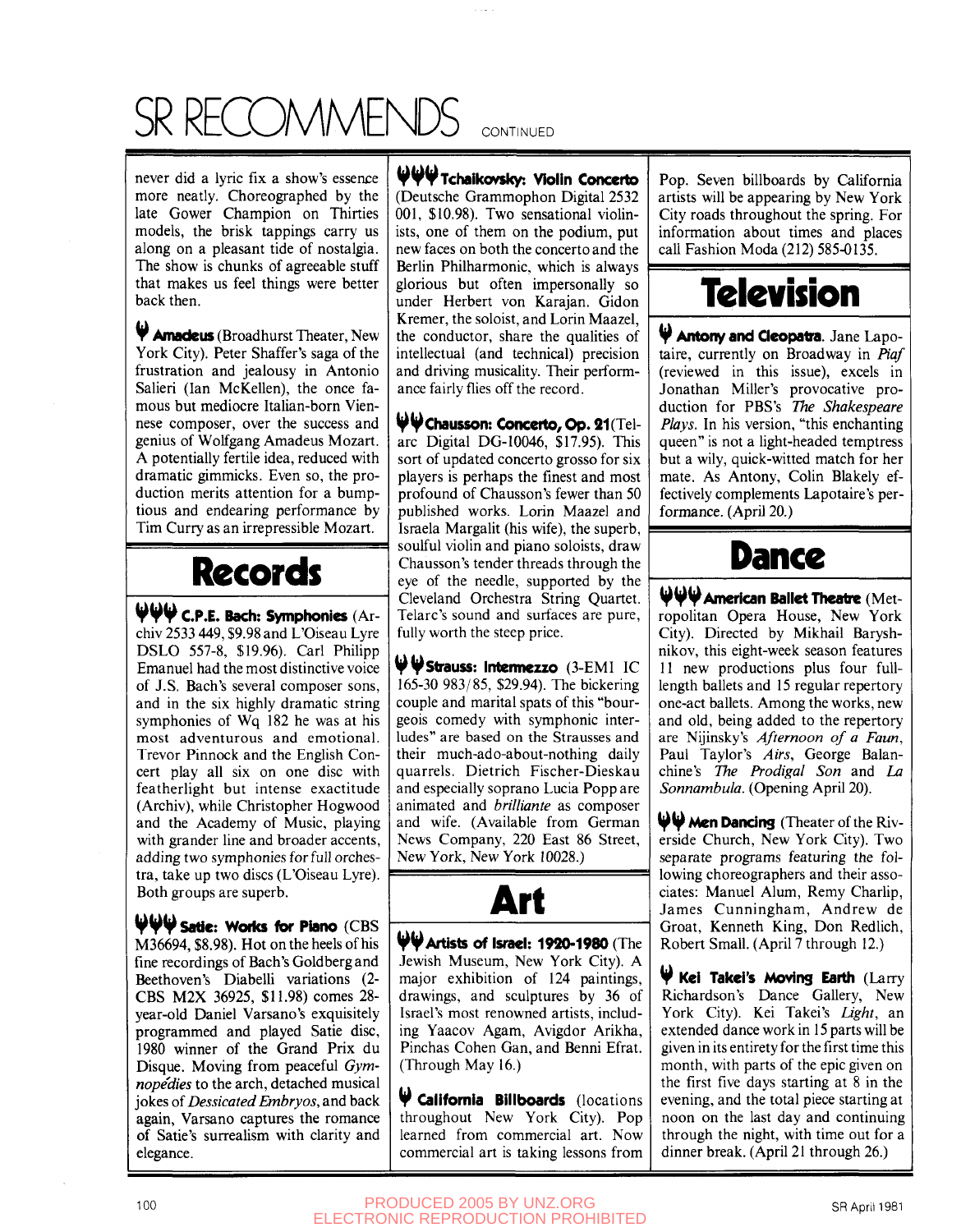## SR RECOMMENDS CONTINUED

never did a lyric fix a show's essence more neatly. Choreographed by the late Gower Champion on Thirties models, the brisk tappings carry us along on a pleasant tide of nostalgia. The show is chunks of agreeable stuff that makes us feel things were better back then.

 **Amadeus** (Broadhurst Theater, New York City). Peter Shaffer's saga of the frustration and jealousy in Antonio Salieri (Ian McKellen), the once famous but mediocre Italian-born Viennese composer, over the success and genius of Wolfgang Amadeus Mozart. A potentially fertile idea, reduced with dramatic gimmicks. Even so, the production merits attention for a bumptious and endearing performance by Tim Curry as an irrepressible Mozart.

#### **Records**

 $\Psi \Psi$  **C.P.E. Bach: Symphonies** (Ar-<br>chiv 2533 449, \$9.98 and L'Oiseau Lyre chiv 2533 449, \$9.98 and L'Oiseau Lyre OSLO 557-8, \$19.96). Carl Philipp Emanuel had the most distinctive voice of J.S. Bach's several composer sons, and in the six highly dramatic string symphonies of Wq 182 he was at his most adventurous and emotional. Trevor Pinnock and the English Concert play all six on one disc with featherlight but intense exactitude (Archiv), while Christopher Hogwood and the Academy of Music, playing with grander line and broader accents, adding two symphonies for full orchestra, take up two discs (L'Oiseau Lyre). Both groups are superb.

**WVsatle: Woiks for Piano** (CBS M36694, \$8.98). Hot on the heels of his fine recordings of Bach's Goldberg and Beethoven's Diabelli variations (2- CBS M2X 36925, \$11.98) comes 28 year-old Daniel Varsano's exquisitely programmed and played Satie disc, 1980 winner of the Grand Prix du Disque. Moving from peaceful *Gymnopedies* to the arch, detached musical jokes of *Dessicated Embryos,* and back again, Varsano captures the romance of Satie's surrealism with clarity and elegance.

**V¥VTchalko/slcy: Violin Concerto**  (Deutsche Grammophon Digital 2532 001, \$10.98). Two sensational violinists, one of them on the podium, put new faces on both the concerto and the Berlin Philharmonic, which is always glorious but often impersonally so under Herbert von Karajan. Gidon Kremer, the soloist, and Lorin Maazel, the conductor, share the qualities of intellectual (and technical) precision and driving musicality. Their performance fairly flies off the record.

**Wchausson: Concerto, Op. 21** (Telarc Digital DG-I0046, \$17.95). This sort of updated concerto grosso for six players is perhaps the finest and most profound of Chausson's fewer than 50 published works. Lorin Maazel and Israela Margalit (his wife), the superb, soulful violin and piano soloists, draw Chausson's tender threads through the eye of the needle, supported by the Cleveland Orchestra String Quartet. Telarc's sound and surfaces are pure, fully worth the steep price.

**Wstrauss: Intennezzo** (3-EMI IC 165-30 983/85, \$29.94). The bickering couple and marital spats of this "bourgeois comedy with symphonic interludes" are based on the Strausses and their much-ado-about-nothing daily quarrels. Dietrich Fischer-Dieskau and especially soprano Lucia Popp are animated and *brilliante* as composer and wife. (Available from German News Company, 220 East 86 Street, New York, New York 10028.)



**^Artists of Israel: 1920-1980** (The Jewish Museum, New York City). A major exhibition of 124 paintings, drawings, and sculptures by 36 of Israel's most renowned artists, including Yaacov Agam, Avigdor Arikha, Pinchas Cohen Gan, and Benni Efrat. (Through May 16.)

 **California Billboards** (locations throughout New York City). Pop learned from commercial art. Now commercial art is taking lessons from

Pop. Seven billboards by California artists will be appearing by New York City roads throughout the spring. For information about times and places call Fashion Moda (212) 585-0135.

## **Television**

 **Antony and Qeopatra.** Jane Lapotaire, currently on Broadway in *Piaf*  (reviewed in this issue), excels in Jonathan Miller's provocative production for PBS's *The Shakespeare Plays.* In his version, "this enchanting queen" is not a light-headed temptress but a wily, quick-witted match for her mate. As Antony, Colin Blakely effectively complements Lapotaire's performance. (April 20.)

#### **Dance**

**V V y American Ballet Theatre** (Metropolitan Opera House, New York City). Directed by Mikhail Baryshnikov, this eight-week season features 11 new productions plus four fulllength ballets and 15 regular repertory one-act ballets. Among the works, new and old, being added to the repertory are Nijinsky's *Afternoon of a Faun,*  Paul Taylor's *Airs,* George Balanchine's *The Prodigal Son* and *La Sonnambula.* (Opening April 20).

**WW Men Dancing** (Theater of the Riverside Church, New York City). Two separate programs featuring the following choreographers and their associates: Manuel Alum, Remy Charlip, James Cunningham, Andrew de Groat, Kenneth King, Don Redlich, Robert Small. (April 7 through 12.)

**V Kel Takel's Moving Earth** (Larry Richardson's Dance Gallery, New York City). Kei Takei's *Light,* an extended dance work in 15 parts will be given in its entirety for the first time this month, with parts of the epic given on the first five days starting at 8 in the evening, and the total piece starting at noon on the last day and continuing through the night, with time out for a dinner break. (April 21 through 26.)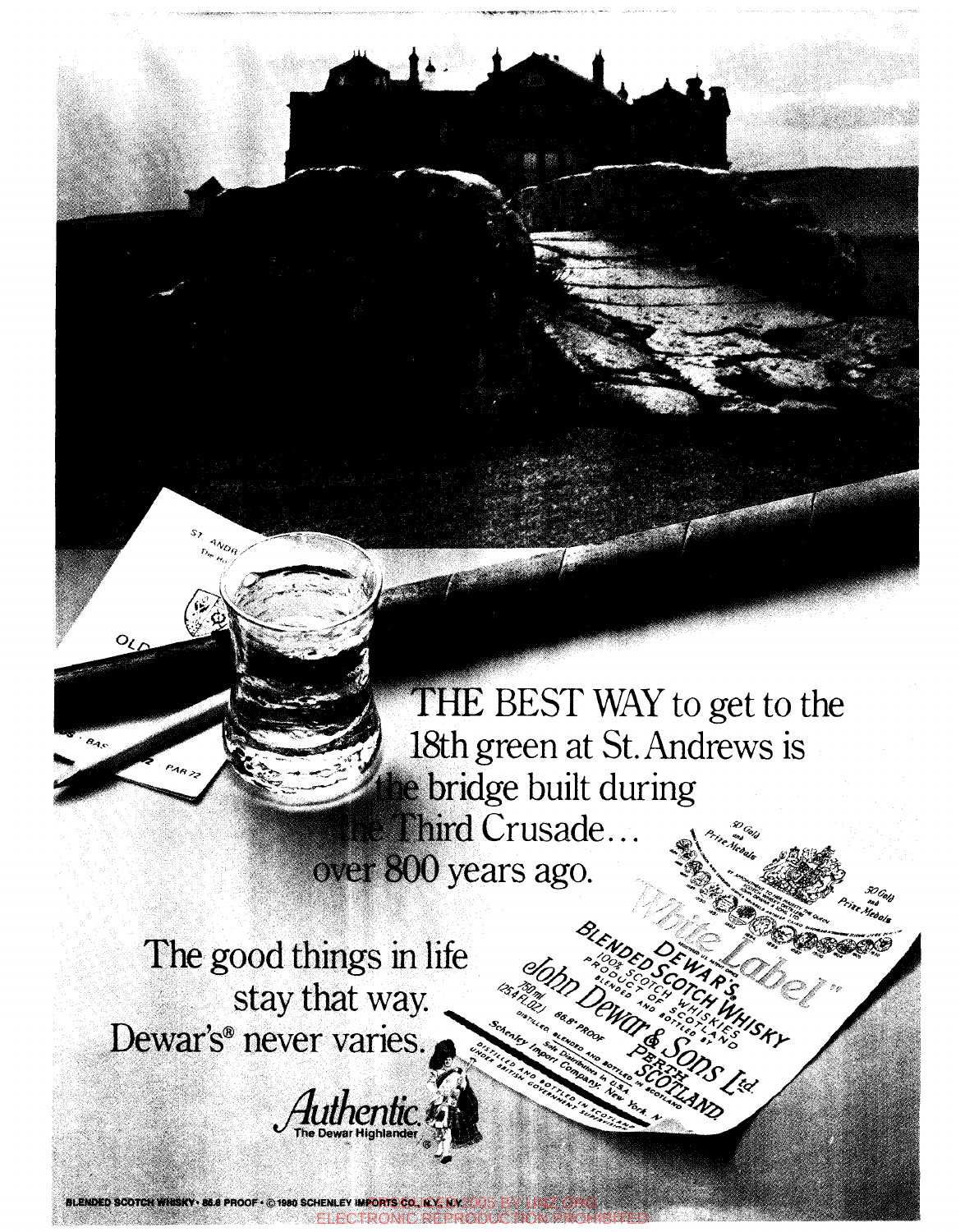THE BEST WAY to get to the 18th green at St. Andrews is e bridge built during Third Crusade... over 800 years ago.

m parece and the party

The good things in life stay that way. Dewar's® never varies.

 $4v_{O_Q}$ 

BLENDED SCOTCH WHISKY . 86.8 PROOF . @ 1980 SCHENLEY IMPORTS CO., N.Y., N.Y.